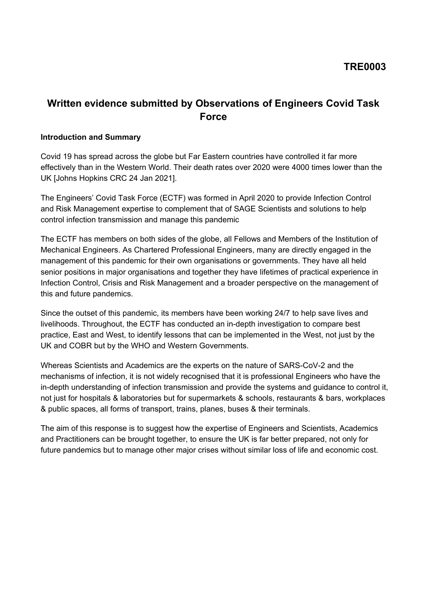# **TRE0003**

# **Written evidence submitted by Observations of Engineers Covid Task Force**

#### **Introduction and Summary**

Covid 19 has spread across the globe but Far Eastern countries have controlled it far more effectively than in the Western World. Their death rates over 2020 were 4000 times lower than the UK [Johns Hopkins CRC 24 Jan 2021].

The Engineers' Covid Task Force (ECTF) was formed in April 2020 to provide Infection Control and Risk Management expertise to complement that of SAGE Scientists and solutions to help control infection transmission and manage this pandemic

The ECTF has members on both sides of the globe, all Fellows and Members of the Institution of Mechanical Engineers. As Chartered Professional Engineers, many are directly engaged in the management of this pandemic for their own organisations or governments. They have all held senior positions in major organisations and together they have lifetimes of practical experience in Infection Control, Crisis and Risk Management and a broader perspective on the management of this and future pandemics.

Since the outset of this pandemic, its members have been working 24/7 to help save lives and livelihoods. Throughout, the ECTF has conducted an in-depth investigation to compare best practice, East and West, to identify lessons that can be implemented in the West, not just by the UK and COBR but by the WHO and Western Governments.

Whereas Scientists and Academics are the experts on the nature of SARS-CoV-2 and the mechanisms of infection, it is not widely recognised that it is professional Engineers who have the in-depth understanding of infection transmission and provide the systems and guidance to control it, not just for hospitals & laboratories but for supermarkets & schools, restaurants & bars, workplaces & public spaces, all forms of transport, trains, planes, buses & their terminals.

The aim of this response is to suggest how the expertise of Engineers and Scientists, Academics and Practitioners can be brought together, to ensure the UK is far better prepared, not only for future pandemics but to manage other major crises without similar loss of life and economic cost.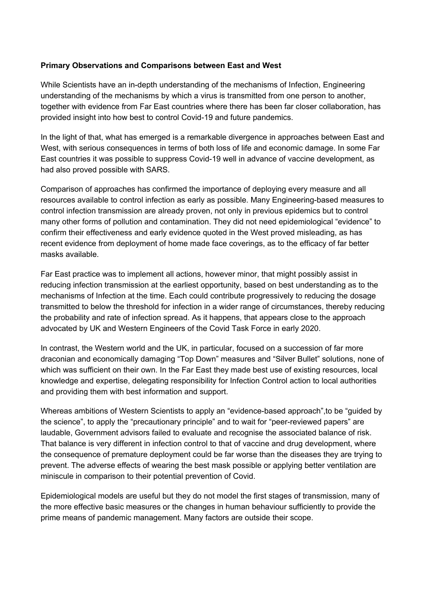#### **Primary Observations and Comparisons between East and West**

While Scientists have an in-depth understanding of the mechanisms of Infection, Engineering understanding of the mechanisms by which a virus is transmitted from one person to another, together with evidence from Far East countries where there has been far closer collaboration, has provided insight into how best to control Covid-19 and future pandemics.

In the light of that, what has emerged is a remarkable divergence in approaches between East and West, with serious consequences in terms of both loss of life and economic damage. In some Far East countries it was possible to suppress Covid-19 well in advance of vaccine development, as had also proved possible with SARS.

Comparison of approaches has confirmed the importance of deploying every measure and all resources available to control infection as early as possible. Many Engineering-based measures to control infection transmission are already proven, not only in previous epidemics but to control many other forms of pollution and contamination. They did not need epidemiological "evidence" to confirm their effectiveness and early evidence quoted in the West proved misleading, as has recent evidence from deployment of home made face coverings, as to the efficacy of far better masks available.

Far East practice was to implement all actions, however minor, that might possibly assist in reducing infection transmission at the earliest opportunity, based on best understanding as to the mechanisms of Infection at the time. Each could contribute progressively to reducing the dosage transmitted to below the threshold for infection in a wider range of circumstances, thereby reducing the probability and rate of infection spread. As it happens, that appears close to the approach advocated by UK and Western Engineers of the Covid Task Force in early 2020.

In contrast, the Western world and the UK, in particular, focused on a succession of far more draconian and economically damaging "Top Down" measures and "Silver Bullet" solutions, none of which was sufficient on their own. In the Far East they made best use of existing resources, local knowledge and expertise, delegating responsibility for Infection Control action to local authorities and providing them with best information and support.

Whereas ambitions of Western Scientists to apply an "evidence-based approach",to be "guided by the science", to apply the "precautionary principle" and to wait for "peer-reviewed papers" are laudable, Government advisors failed to evaluate and recognise the associated balance of risk. That balance is very different in infection control to that of vaccine and drug development, where the consequence of premature deployment could be far worse than the diseases they are trying to prevent. The adverse effects of wearing the best mask possible or applying better ventilation are miniscule in comparison to their potential prevention of Covid.

Epidemiological models are useful but they do not model the first stages of transmission, many of the more effective basic measures or the changes in human behaviour sufficiently to provide the prime means of pandemic management. Many factors are outside their scope.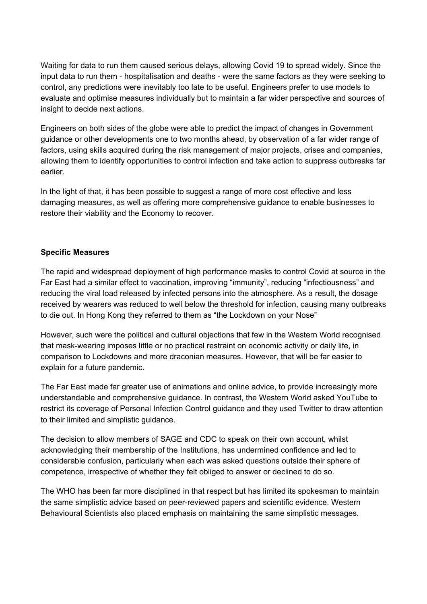Waiting for data to run them caused serious delays, allowing Covid 19 to spread widely. Since the input data to run them - hospitalisation and deaths - were the same factors as they were seeking to control, any predictions were inevitably too late to be useful. Engineers prefer to use models to evaluate and optimise measures individually but to maintain a far wider perspective and sources of insight to decide next actions.

Engineers on both sides of the globe were able to predict the impact of changes in Government guidance or other developments one to two months ahead, by observation of a far wider range of factors, using skills acquired during the risk management of major projects, crises and companies, allowing them to identify opportunities to control infection and take action to suppress outbreaks far earlier.

In the light of that, it has been possible to suggest a range of more cost effective and less damaging measures, as well as offering more comprehensive guidance to enable businesses to restore their viability and the Economy to recover.

#### **Specific Measures**

The rapid and widespread deployment of high performance masks to control Covid at source in the Far East had a similar effect to vaccination, improving "immunity", reducing "infectiousness" and reducing the viral load released by infected persons into the atmosphere. As a result, the dosage received by wearers was reduced to well below the threshold for infection, causing many outbreaks to die out. In Hong Kong they referred to them as "the Lockdown on your Nose"

However, such were the political and cultural objections that few in the Western World recognised that mask-wearing imposes little or no practical restraint on economic activity or daily life, in comparison to Lockdowns and more draconian measures. However, that will be far easier to explain for a future pandemic.

The Far East made far greater use of animations and online advice, to provide increasingly more understandable and comprehensive guidance. In contrast, the Western World asked YouTube to restrict its coverage of Personal Infection Control guidance and they used Twitter to draw attention to their limited and simplistic guidance.

The decision to allow members of SAGE and CDC to speak on their own account, whilst acknowledging their membership of the Institutions, has undermined confidence and led to considerable confusion, particularly when each was asked questions outside their sphere of competence, irrespective of whether they felt obliged to answer or declined to do so.

The WHO has been far more disciplined in that respect but has limited its spokesman to maintain the same simplistic advice based on peer-reviewed papers and scientific evidence. Western Behavioural Scientists also placed emphasis on maintaining the same simplistic messages.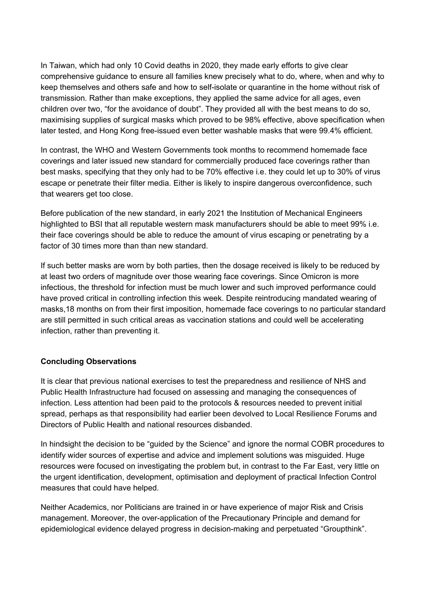In Taiwan, which had only 10 Covid deaths in 2020, they made early efforts to give clear comprehensive guidance to ensure all families knew precisely what to do, where, when and why to keep themselves and others safe and how to self-isolate or quarantine in the home without risk of transmission. Rather than make exceptions, they applied the same advice for all ages, even children over two, "for the avoidance of doubt". They provided all with the best means to do so, maximising supplies of surgical masks which proved to be 98% effective, above specification when later tested, and Hong Kong free-issued even better washable masks that were 99.4% efficient.

In contrast, the WHO and Western Governments took months to recommend homemade face coverings and later issued new standard for commercially produced face coverings rather than best masks, specifying that they only had to be 70% effective i.e. they could let up to 30% of virus escape or penetrate their filter media. Either is likely to inspire dangerous overconfidence, such that wearers get too close.

Before publication of the new standard, in early 2021 the Institution of Mechanical Engineers highlighted to BSI that all reputable western mask manufacturers should be able to meet 99% i.e. their face coverings should be able to reduce the amount of virus escaping or penetrating by a factor of 30 times more than than new standard.

If such better masks are worn by both parties, then the dosage received is likely to be reduced by at least two orders of magnitude over those wearing face coverings. Since Omicron is more infectious, the threshold for infection must be much lower and such improved performance could have proved critical in controlling infection this week. Despite reintroducing mandated wearing of masks,18 months on from their first imposition, homemade face coverings to no particular standard are still permitted in such critical areas as vaccination stations and could well be accelerating infection, rather than preventing it.

## **Concluding Observations**

It is clear that previous national exercises to test the preparedness and resilience of NHS and Public Health Infrastructure had focused on assessing and managing the consequences of infection. Less attention had been paid to the protocols & resources needed to prevent initial spread, perhaps as that responsibility had earlier been devolved to Local Resilience Forums and Directors of Public Health and national resources disbanded.

In hindsight the decision to be "guided by the Science" and ignore the normal COBR procedures to identify wider sources of expertise and advice and implement solutions was misguided. Huge resources were focused on investigating the problem but, in contrast to the Far East, very little on the urgent identification, development, optimisation and deployment of practical Infection Control measures that could have helped.

Neither Academics, nor Politicians are trained in or have experience of major Risk and Crisis management. Moreover, the over-application of the Precautionary Principle and demand for epidemiological evidence delayed progress in decision-making and perpetuated "Groupthink".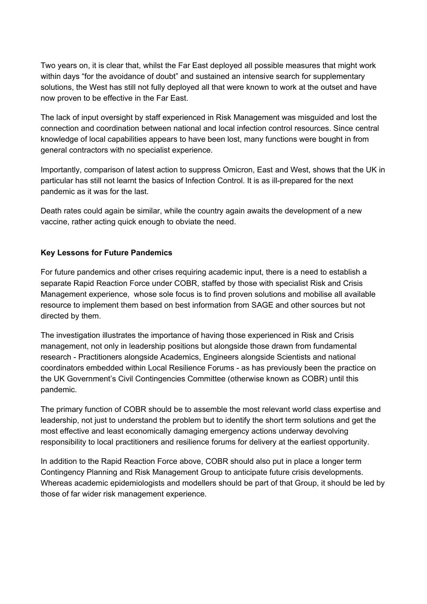Two years on, it is clear that, whilst the Far East deployed all possible measures that might work within days "for the avoidance of doubt" and sustained an intensive search for supplementary solutions, the West has still not fully deployed all that were known to work at the outset and have now proven to be effective in the Far East.

The lack of input oversight by staff experienced in Risk Management was misguided and lost the connection and coordination between national and local infection control resources. Since central knowledge of local capabilities appears to have been lost, many functions were bought in from general contractors with no specialist experience.

Importantly, comparison of latest action to suppress Omicron, East and West, shows that the UK in particular has still not learnt the basics of Infection Control. It is as ill-prepared for the next pandemic as it was for the last.

Death rates could again be similar, while the country again awaits the development of a new vaccine, rather acting quick enough to obviate the need.

## **Key Lessons for Future Pandemics**

For future pandemics and other crises requiring academic input, there is a need to establish a separate Rapid Reaction Force under COBR, staffed by those with specialist Risk and Crisis Management experience, whose sole focus is to find proven solutions and mobilise all available resource to implement them based on best information from SAGE and other sources but not directed by them.

The investigation illustrates the importance of having those experienced in Risk and Crisis management, not only in leadership positions but alongside those drawn from fundamental research - Practitioners alongside Academics, Engineers alongside Scientists and national coordinators embedded within Local Resilience Forums - as has previously been the practice on the UK Government's Civil Contingencies Committee (otherwise known as COBR) until this pandemic.

The primary function of COBR should be to assemble the most relevant world class expertise and leadership, not just to understand the problem but to identify the short term solutions and get the most effective and least economically damaging emergency actions underway devolving responsibility to local practitioners and resilience forums for delivery at the earliest opportunity.

In addition to the Rapid Reaction Force above, COBR should also put in place a longer term Contingency Planning and Risk Management Group to anticipate future crisis developments. Whereas academic epidemiologists and modellers should be part of that Group, it should be led by those of far wider risk management experience.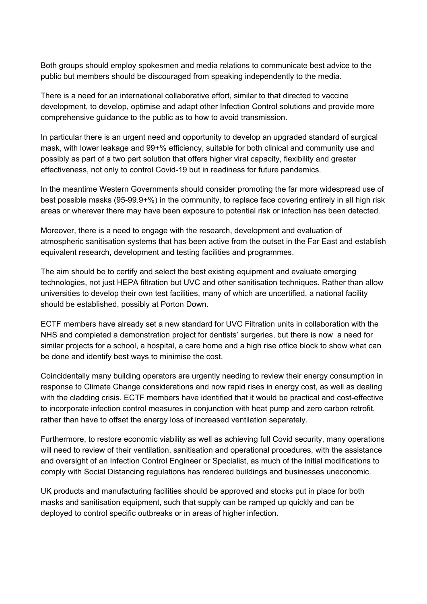Both groups should employ spokesmen and media relations to communicate best advice to the public but members should be discouraged from speaking independently to the media.

There is a need for an international collaborative effort, similar to that directed to vaccine development, to develop, optimise and adapt other Infection Control solutions and provide more comprehensive guidance to the public as to how to avoid transmission.

In particular there is an urgent need and opportunity to develop an upgraded standard of surgical mask, with lower leakage and 99+% efficiency, suitable for both clinical and community use and possibly as part of a two part solution that offers higher viral capacity, flexibility and greater effectiveness, not only to control Covid-19 but in readiness for future pandemics.

In the meantime Western Governments should consider promoting the far more widespread use of best possible masks (95-99.9+%) in the community, to replace face covering entirely in all high risk areas or wherever there may have been exposure to potential risk or infection has been detected.

Moreover, there is a need to engage with the research, development and evaluation of atmospheric sanitisation systems that has been active from the outset in the Far East and establish equivalent research, development and testing facilities and programmes.

The aim should be to certify and select the best existing equipment and evaluate emerging technologies, not just HEPA filtration but UVC and other sanitisation techniques. Rather than allow universities to develop their own test facilities, many of which are uncertified, a national facility should be established, possibly at Porton Down.

ECTF members have already set a new standard for UVC Filtration units in collaboration with the NHS and completed a demonstration project for dentists' surgeries, but there is now a need for similar projects for a school, a hospital, a care home and a high rise office block to show what can be done and identify best ways to minimise the cost.

Coincidentally many building operators are urgently needing to review their energy consumption in response to Climate Change considerations and now rapid rises in energy cost, as well as dealing with the cladding crisis. ECTF members have identified that it would be practical and cost-effective to incorporate infection control measures in conjunction with heat pump and zero carbon retrofit, rather than have to offset the energy loss of increased ventilation separately.

Furthermore, to restore economic viability as well as achieving full Covid security, many operations will need to review of their ventilation, sanitisation and operational procedures, with the assistance and oversight of an Infection Control Engineer or Specialist, as much of the initial modifications to comply with Social Distancing regulations has rendered buildings and businesses uneconomic.

UK products and manufacturing facilities should be approved and stocks put in place for both masks and sanitisation equipment, such that supply can be ramped up quickly and can be deployed to control specific outbreaks or in areas of higher infection.